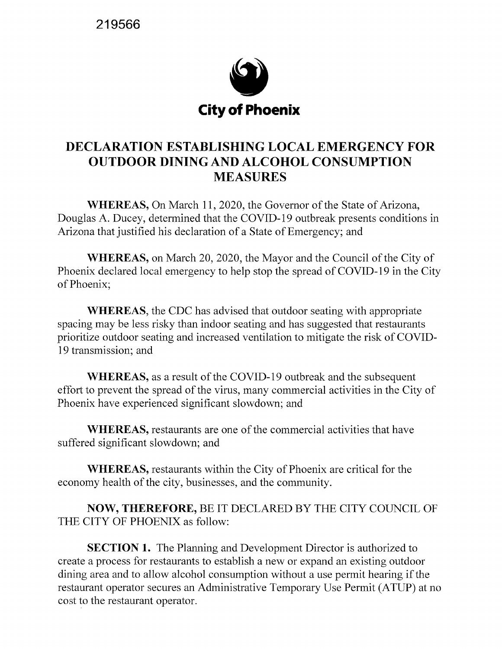**219566** 



## **DECLARATION ESTABLISHING LOCAL EMERGENCY FOR OUTDOOR DINING AND ALCOHOL CONSUMPTION MEASURES**

**WHEREAS,** On March 11, 2020, the Governor of the State of Arizona, Douglas A. Ducey, determined that the COVID-19 outbreak presents conditions in Arizona that justified his declaration of a State of Emergency; and

**WHEREAS,** on March 20, 2020, the Mayor and the Council of the City of Phoenix declared local emergency to help stop the spread of COVID-19 in the City of Phoenix;

**WHEREAS,** the CDC has advised that outdoor seating with appropriate spacing may be less risky than indoor seating and has suggested that restaurants prioritize outdoor seating and increased ventilation to mitigate the risk of COVID-19 transmission; and

**WHEREAS,** as a result of the COVID-19 outbreak and the subsequent effort to prevent the spread of the virus, many commercial activities in the City of Phoenix have experienced significant slowdown; and

**WHEREAS,** restaurants are one of the commercial activities that have suffered significant slowdown; and

**WHEREAS,** restaurants within the City of Phoenix are critical for the economy health of the city, businesses, and the community.

**NOW, THEREFORE,** BE IT DECLARED BY THE CITY COUNCIL OF THE CITY OF PHOENIX as follow:

**SECTION 1.** The Planning and Development Director is authorized to create a process for restaurants to establish a new or expand an existing outdoor dining area and to allow alcohol consumption without a use permit hearing if the restaurant operator secures an Administrative Temporary Use Permit (ATUP) at no cost to the restaurant operator.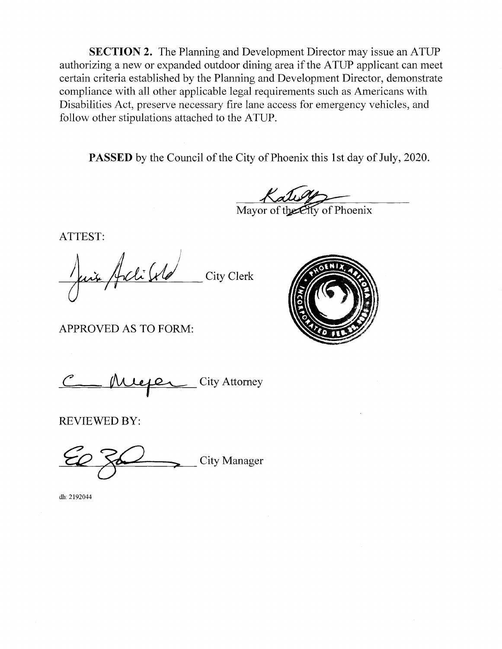**SECTION 2.** The Planning and Development Director may issue an ATUP authorizing a new or expanded outdoor dining area if the ATUP applicant can meet certain criteria established by the Planning and Development Director, demonstrate compliance with all other applicable legal requirements such as Americans with Disabilities Act, preserve necessary fire lane access for emergency vehicles, and follow other stipulations attached to the ATUP.

**PASSED** by the Council of the City of Phoenix this 1st day of July, 2020.

Mayor of the Eity of Phoenix

ATTEST:

Juin Joli VC City Clerk 1

APPROVED AS TO FORM:



Lacktrian City Attorney

REVIEWED BY:

-~-=-..:!------:;!fd~;=c---.::---\_-\_-\_---;.\_,.\_\_ City Manager

dh:2192044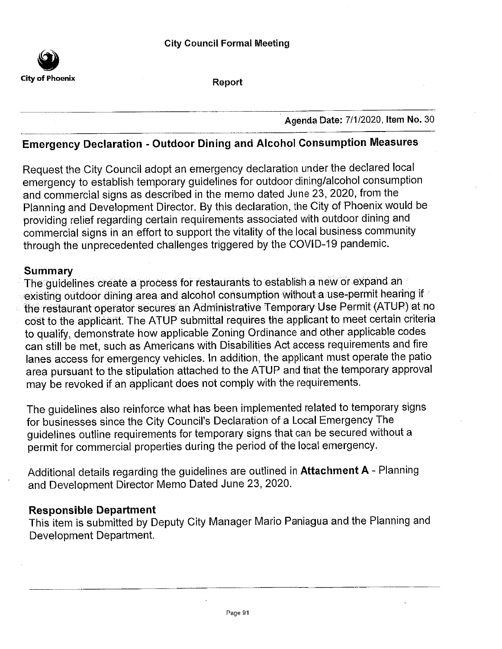

Report

Agenda Date: 7/1/2020, Item No. 30

# **Emergency Declaration - Outdoor Dining and Alcohol Consumption Measures**

Request the City Council adopt an emergency declaration under the declared local emergency to establish temporary guidelines for outdoor dining/alcohol consumption and commercial signs as described in the memo dated June 23, 2020, from the Planning and Development Director. By this declaration, the City of Phoenix would be providing relief regarding certain requirements associated with outdoor dining and commercial signs in an effort to support the vitality of the local business community through the unprecedented challenges triggered by the COVID-19 pandemic.

#### **Summary**

The guidelines create a process for restaurants to establish a new or expand an existing outdoor dining area and alcohol consumption without a use-permit hearing if the restaurant operator secures an Administrative Temporary Use Permit (ATUP) at no cost to the applicant. The ATUP submittal requires the applicant to meet certain criteria to qualify, demonstrate how applicable Zoning Ordinance and other applicable codes can still be met, such as Americans with Disabilities Act access requirements and fire lanes access for emergency vehicles. In addition, the applicant must operate the patio area pursuant to the stipulation attached to the ATUP and that the temporary approval may be revoked if an applicant does not comply with the requirements.

The guidelines also reinforce what has been implemented related to temporary signs for businesses since the City Council's Declaration of a Local Emergency The guidelines outline requirements for temporary signs that can be secured without a permit for commercial properties during the period of the local emergency.

Additional details regarding the guidelines are outlined in Attachment A - Planning and Development Director Memo Dated June 23, 2020.

#### **Responsible Department**

This item is submitted by Deputy City Manager Mario Paniagua and the Planning and Development Department.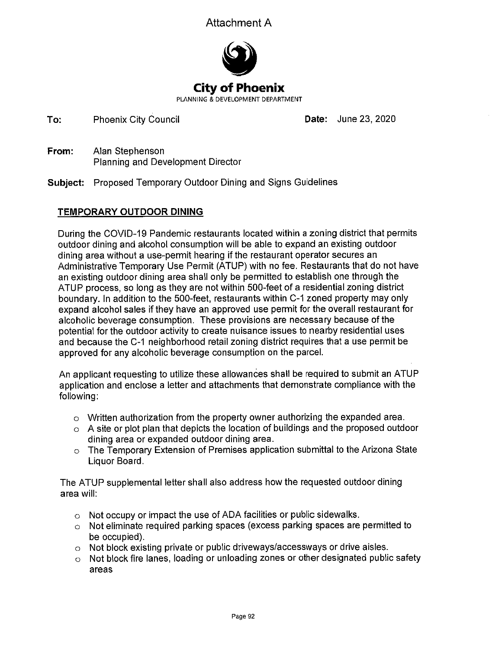### Attachment A



To: **Phoenix City Council**  Date: June 23, 2020

- Alan Stephenson From: Planning and Development Director
- **Subject:** Proposed Temporary Outdoor Dining and Signs Guidelines

### **TEMPORARY OUTDOOR DINING**

During the COVID-19 Pandemic restaurants located within a zoning district that permits outdoor dining and alcohol consumption will be able to expand an existing outdoor dining area without a use-permit hearing if the restaurant operator secures an Administrative Temporary Use Permit (ATUP) with no fee. Restaurants that do not have an existing outdoor dining area shall only be permitted to establish one through the ATUP process, so long as they are not within 500-feet of a residential zoning district boundary. In addition to the 500-feet, restaurants within C-1 zoned property may only expand alcohol sales if they have an approved use permit for the overall restaurant for alcoholic beverage consumption. These provisions are necessary because of the potential for the outdoor activity to create nuisance issues to nearby residential uses and because the C-1 neighborhood retail zoning district requires that a use permit be approved for any alcoholic beverage consumption on the parcel.

An applicant requesting to utilize these allowances shall be required to submit an ATUP application and enclose a letter and attachments that demonstrate compliance with the following:

- $\circ$  Written authorization from the property owner authorizing the expanded area.
- $\circ$  A site or plot plan that depicts the location of buildings and the proposed outdoor dining area or expanded outdoor dining area.
- $\circ$  The Temporary Extension of Premises application submittal to the Arizona State Liquor Board.

The ATUP supplemental letter shall also address how the requested outdoor dining area will:

- o Not occupy or impact the use of ADA facilities or public sidewalks.
- o Not eliminate required parking spaces (excess parking spaces are permitted to be occupied).
- $\circ$  Not block existing private or public driveways/accessways or drive aisles.
- o Not block fire lanes, loading or unloading zones or other designated public safety areas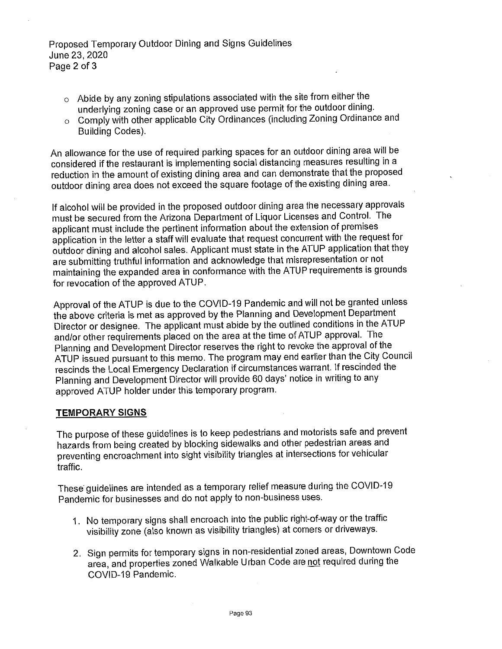- $\circ$  Abide by any zoning stipulations associated with the site from either the underlying zoning case or an approved use permit for the outdoor dining.
- Comply with other applicable City Ordinances (including Zoning Ordinance and  $\circ$ **Building Codes).**

An allowance for the use of required parking spaces for an outdoor dining area will be considered if the restaurant is implementing social distancing measures resulting in a reduction in the amount of existing dining area and can demonstrate that the proposed outdoor dining area does not exceed the square footage of the existing dining area.

If alcohol will be provided in the proposed outdoor dining area the necessary approvals must be secured from the Arizona Department of Liquor Licenses and Control. The applicant must include the pertinent information about the extension of premises application in the letter a staff will evaluate that request concurrent with the request for outdoor dining and alcohol sales. Applicant must state in the ATUP application that they are submitting truthful information and acknowledge that misrepresentation or not maintaining the expanded area in conformance with the ATUP requirements is grounds for revocation of the approved ATUP.

Approval of the ATUP is due to the COVID-19 Pandemic and will not be granted unless the above criteria is met as approved by the Planning and Development Department Director or designee. The applicant must abide by the outlined conditions in the ATUP and/or other requirements placed on the area at the time of ATUP approval. The Planning and Development Director reserves the right to revoke the approval of the ATUP issued pursuant to this memo. The program may end earlier than the City Council rescinds the Local Emergency Declaration if circumstances warrant. If rescinded the Planning and Development Director will provide 60 days' notice in writing to any approved ATUP holder under this temporary program.

#### **TEMPORARY SIGNS**

The purpose of these guidelines is to keep pedestrians and motorists safe and prevent hazards from being created by blocking sidewalks and other pedestrian areas and preventing encroachment into sight visibility triangles at intersections for vehicular traffic.

These guidelines are intended as a temporary relief measure during the COVID-19 Pandemic for businesses and do not apply to non-business uses.

- 1. No temporary signs shall encroach into the public right-of-way or the traffic visibility zone (also known as visibility triangles) at corners or driveways.
- 2. Sign permits for temporary signs in non-residential zoned areas, Downtown Code area, and properties zoned Walkable Urban Code are not required during the COVID-19 Pandemic.